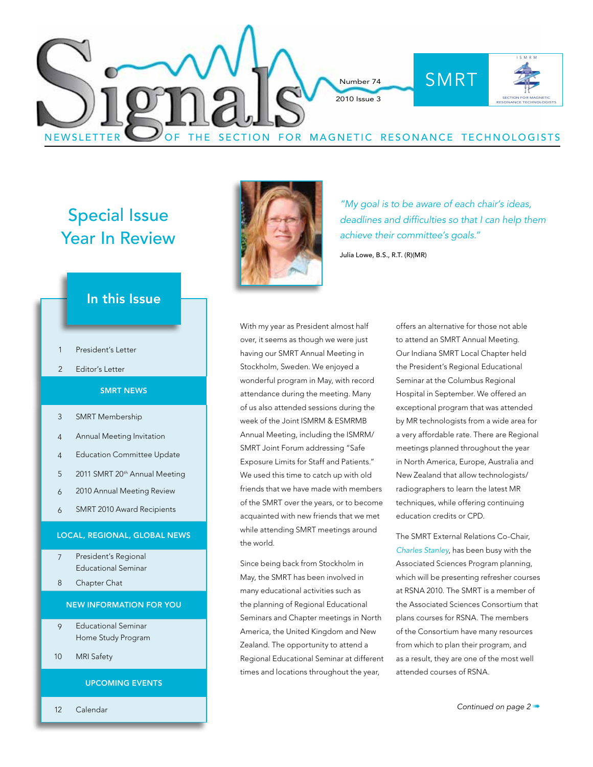

# Special Issue Year In Review



- 1 President's Letter
- $\overline{2}$ Editor's Letter

#### SMRT NEWS

- 3 SMRT Membership
- 4 Annual Meeting Invitation
- 4 Education Committee Update
- 5 2011 SMRT 20th Annual Meeting
- 6 2010 Annual Meeting Review
- 6 SMRT 2010 Award Recipients

#### LOCAL, REGIONAL, GLOBAL NEWS

- 7 President's Regional Educational Seminar
- 8 Chapter Chat

### NEW INFORMATION FOR YOU

- 9 Educational Seminar Home Study Program
- 10 MRI Safety

#### UPCOMING EVENTS

12 Calendar



*"My goal is to be aware of each chair's ideas, deadlines and difficulties so that I can help them achieve their committee's goals."*

SMRT

I S M R M

SECTION FOR MAGNETIC RESONANCE TECHNOLOGISTS

Julia Lowe, B.S., R.T. (R)(MR)

Number 74 2010 Issue 3

With my year as President almost half over, it seems as though we were just having our SMRT Annual Meeting in Stockholm, Sweden. We enjoyed a wonderful program in May, with record attendance during the meeting. Many of us also attended sessions during the week of the Joint ISMRM & ESMRMB Annual Meeting, including the ISMRM/ SMRT Joint Forum addressing "Safe Exposure Limits for Staff and Patients." We used this time to catch up with old friends that we have made with members of the SMRT over the years, or to become acquainted with new friends that we met while attending SMRT meetings around the world.

Since being back from Stockholm in May, the SMRT has been involved in many educational activities such as the planning of Regional Educational Seminars and Chapter meetings in North America, the United Kingdom and New Zealand. The opportunity to attend a Regional Educational Seminar at different times and locations throughout the year,

offers an alternative for those not able to attend an SMRT Annual Meeting. Our Indiana SMRT Local Chapter held the President's Regional Educational Seminar at the Columbus Regional Hospital in September. We offered an exceptional program that was attended by MR technologists from a wide area for a very affordable rate. There are Regional meetings planned throughout the year in North America, Europe, Australia and New Zealand that allow technologists/ radiographers to learn the latest MR techniques, while offering continuing education credits or CPD.

The SMRT External Relations Co-Chair, *Charles Stanley*, has been busy with the Associated Sciences Program planning, which will be presenting refresher courses at RSNA 2010. The SMRT is a member of the Associated Sciences Consortium that plans courses for RSNA. The members of the Consortium have many resources from which to plan their program, and as a result, they are one of the most well attended courses of RSNA.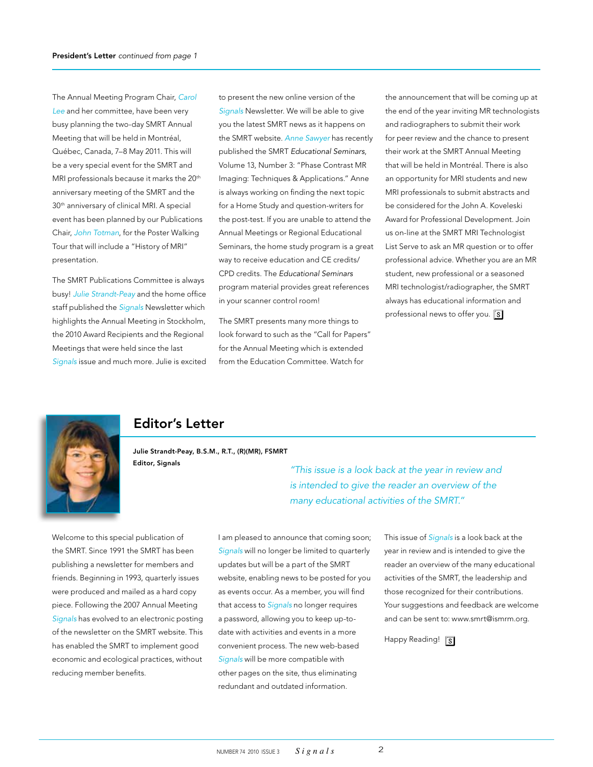The Annual Meeting Program Chair, *Carol Lee* and her committee, have been very busy planning the two-day SMRT Annual Meeting that will be held in Montréal, Québec, Canada, 7–8 May 2011. This will be a very special event for the SMRT and MRI professionals because it marks the 20<sup>th</sup> anniversary meeting of the SMRT and the 30<sup>th</sup> anniversary of clinical MRI. A special event has been planned by our Publications Chair, *John Totman*, for the Poster Walking Tour that will include a "History of MRI" presentation.

The SMRT Publications Committee is always busy! *Julie Strandt-Peay* and the home office staff published the *Signals* Newsletter which highlights the Annual Meeting in Stockholm, the 2010 Award Recipients and the Regional Meetings that were held since the last *Signals* issue and much more. Julie is excited to present the new online version of the *Signals* Newsletter. We will be able to give you the latest SMRT news as it happens on the SMRT website. *Anne Sawyer* has recently published the SMRT *Educational Seminars*, Volume 13, Number 3: "Phase Contrast MR Imaging: Techniques & Applications." Anne is always working on finding the next topic for a Home Study and question-writers for the post-test. If you are unable to attend the Annual Meetings or Regional Educational Seminars, the home study program is a great way to receive education and CE credits/ CPD credits. The *Educational Seminars* program material provides great references in your scanner control room!

The SMRT presents many more things to look forward to such as the "Call for Papers" for the Annual Meeting which is extended from the Education Committee. Watch for

the announcement that will be coming up at the end of the year inviting MR technologists and radiographers to submit their work for peer review and the chance to present their work at the SMRT Annual Meeting that will be held in Montréal. There is also an opportunity for MRI students and new MRI professionals to submit abstracts and be considered for the John A. Koveleski Award for Professional Development. Join us on-line at the SMRT MRI Technologist List Serve to ask an MR question or to offer professional advice. Whether you are an MR student, new professional or a seasoned MRI technologist/radiographer, the SMRT always has educational information and professional news to offer you. **S** 



## Editor's Letter

Julie Strandt-Peay, B.S.M., R.T., (R)(MR), FSMRT Editor, Signals

*"This issue is a look back at the year in review and is intended to give the reader an overview of the many educational activities of the SMRT."*

Welcome to this special publication of the SMRT. Since 1991 the SMRT has been publishing a newsletter for members and friends. Beginning in 1993, quarterly issues were produced and mailed as a hard copy piece. Following the 2007 Annual Meeting *Signals* has evolved to an electronic posting of the newsletter on the SMRT website. This has enabled the SMRT to implement good economic and ecological practices, without reducing member benefits.

I am pleased to announce that coming soon; *Signals* will no longer be limited to quarterly updates but will be a part of the SMRT website, enabling news to be posted for you as events occur. As a member, you will find that access to *Signals* no longer requires a password, allowing you to keep up-todate with activities and events in a more convenient process. The new web-based *Signals* will be more compatible with other pages on the site, thus eliminating redundant and outdated information.

This issue of *Signals* is a look back at the year in review and is intended to give the reader an overview of the many educational activities of the SMRT, the leadership and those recognized for their contributions. Your suggestions and feedback are welcome and can be sent to: www.smrt@ismrm.org.

Happy Reading! [S]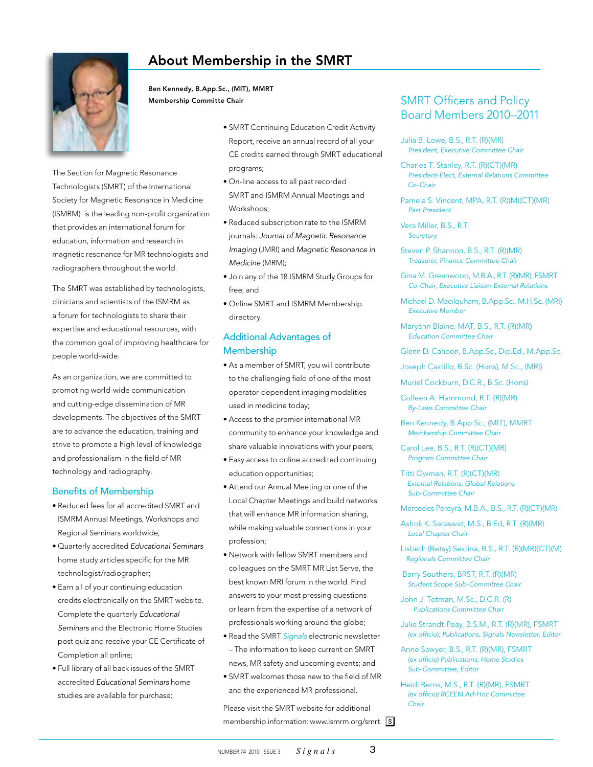

# About Membership in the SMRT

Ben Kennedy, B.App.Sc., (MIT), MMRT Membership Committe Chair

The Section for Magnetic Resonance Technologists (SMRT) of the International Society for Magnetic Resonance in Medicine (ISMRM) is the leading non-profit organization that provides an international forum for education, information and research in magnetic resonance for MR technologists and radiographers throughout the world.

The SMRT was established by technologists, clinicians and scientists of the ISMRM as a forum for technologists to share their expertise and educational resources, with the common goal of improving healthcare for people world-wide.

As an organization, we are committed to promoting world-wide communication and cutting-edge dissemination of MR developments. The objectives of the SMRT are to advance the education, training and strive to promote a high level of knowledge and professionalism in the field of MR technology and radiography.

### Benefits of Membership

- Reduced fees for all accredited SMRT and ISMRM Annual Meetings, Workshops and Regional Seminars worldwide;
- Quarterly accredited *Educational Seminars* home study articles specific for the MR technologist/radiographer;
- Earn all of your continuing education credits electronically on the SMRT website. Complete the quarterly *Educational Seminars* and the Electronic Home Studies post quiz and receive your CE Certificate of Completion all online;
- Full library of all back issues of the SMRT accredited *Educational Seminars* home studies are available for purchase;
- SMRT Continuing Education Credit Activity Report, receive an annual record of all your CE credits earned through SMRT educational programs;
- On-line access to all past recorded SMRT and ISMRM Annual Meetings and Workshops;
- Reduced subscription rate to the ISMRM journals: *Journal of Magnetic Resonance Imaging* (JMRI) and *Magnetic Resonance in Medicine* (MRM);
- Join any of the 18 ISMRM Study Groups for free; and
- Online SMRT and ISMRM Membership directory.

### Additional Advantages of Membership

- As a member of SMRT, you will contribute to the challenging field of one of the most operator-dependent imaging modalities used in medicine today;
- Access to the premier international MR community to enhance your knowledge and share valuable innovations with your peers;
- Easy access to online accredited continuing education opportunities;
- Attend our Annual Meeting or one of the Local Chapter Meetings and build networks that will enhance MR information sharing, while making valuable connections in your profession;
- Network with fellow SMRT members and colleagues on the SMRT MR List Serve, the best known MRI forum in the world. Find answers to your most pressing questions or learn from the expertise of a network of professionals working around the globe;
- Read the SMRT *Signals* electronic newsletter – The information to keep current on SMRT news, MR safety and upcoming events; and
- SMRT welcomes those new to the field of MR and the experienced MR professional.

Please visit the SMRT website for additional membership information: www.ismrm.org/smrt. S

### SMRT Officers and Policy Board Members 2010–2011

- Julia B. Lowe, B.S., R.T. (R)(MR) *President, Executive Committee Chair*
- Charles T. Stanley, R.T. (R)(CT)(MR) *President-Elect, External Relations Committee Co-Chair*
- Pamela S. Vincent, MPA, R.T. (R)(M)(CT)(MR) *Past President*

Vera Miller, B.S., R.T. *Secretary*

Steven P. Shannon, B.S., R.T. (R)(MR) *Treasurer, Finance Committee Chair*

- Gina M. Greenwood, M.B.A., R.T. (R)(MR), FSMRT *Co-Chair, Executive Liaison-External Relations*
- Michael D. Macilquham, B.App.Sc., M.H.Sc. (MRI) *Executive Member*
- Maryann Blaine, MAT, B.S., R.T. (R)(MR) *Education Committee Chair*

Glenn D. Cahoon, B.App.Sc., Dip.Ed., M.App.Sc.

Joseph Castillo, B.Sc. (Hons), M.Sc., (MRI)

Muriel Cockburn, D.C.R., B.Sc. (Hons)

Colleen A. Hammond, R.T. (R)(MR)  *By-Laws Committee Chair*

Ben Kennedy, B.App.Sc., (MIT), MMRT  *Membership Committee Chair*

Carol Lee, B.S., R.T. (R)(CT)(MR)  *Program Committee Chair*

Titti Owman, R.T. (R)(CT)(MR)  *External Relations, Global Relations Sub-Committee Chair*

Mercedes Pereyra, M.B.A., B.S., R.T. (R)(CT)(MR)

Ashok K. Saraswat, M.S., B.Ed, R.T. (R)(MR)  *Local Chapter Chair*

Lisbeth (Betsy) Sestina, B.S., R.T. (R)(MR)(CT)(M)  *Regionals Committee Chair*

- Barry Southers, BRST, R.T. (R)(MR)  *Student Scope Sub-Committee Chair*
- John J. Totman, M.Sc., D.C.R. (R)  *Publications Committee Chair*
- Julie Strandt-Peay, B.S.M., R.T. (R)(MR), FSMRT  *(ex officio), Publications, Signals Newsletter, Editor*
- Anne Sawyer, B.S., R.T. (R)(MR), FSMRT  *(ex officio) Publications, Home Studies Sub-Committee, Editor*
- Heidi Berns, M.S., R.T. (R)(MR), FSMRT  *(ex officio) RCEEM Ad-Hoc Committee Chair*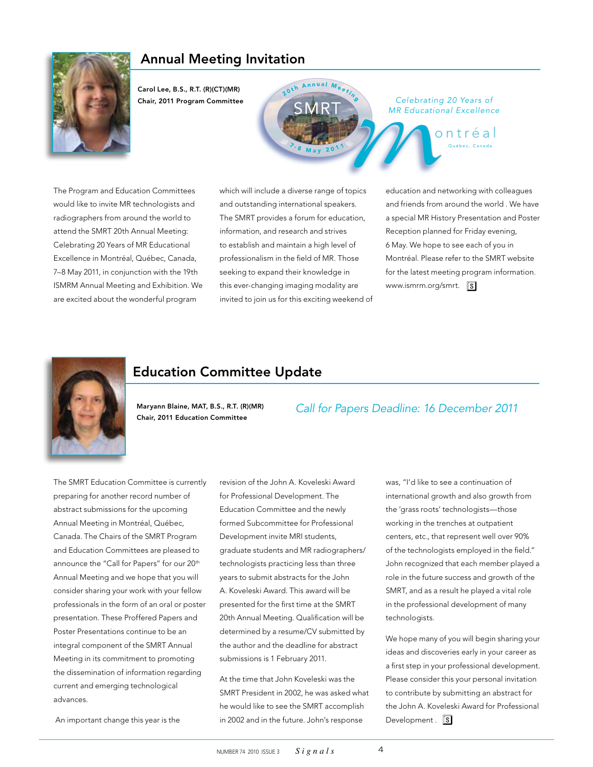

# Annual Meeting Invitation

Carol Lee, B.S., R.T. (R)(CT)(MR) Chair, 2011 Program Committee



SMRT *Celebrating 20 Years of MR Educational Excellence*

The Program and Education Committees would like to invite MR technologists and radiographers from around the world to attend the SMRT 20th Annual Meeting: Celebrating 20 Years of MR Educational Excellence in Montréal, Québec, Canada, 7–8 May 2011, in conjunction with the 19th ISMRM Annual Meeting and Exhibition. We are excited about the wonderful program

which will include a diverse range of topics and outstanding international speakers. The SMRT provides a forum for education, information, and research and strives to establish and maintain a high level of professionalism in the field of MR. Those seeking to expand their knowledge in this ever-changing imaging modality are invited to join us for this exciting weekend of education and networking with colleagues and friends from around the world . We have a special MR History Presentation and Poster Reception planned for Friday evening, 6 May. We hope to see each of you in Montréal. Please refer to the SMRT website for the latest meeting program information. www.ismrm.org/smrt.



# Education Committee Update

Maryann Blaine, MAT, B.S., R.T. (R)(MR) Chair, 2011 Education Committee

*Call for Papers Deadline: 16 December 2011*

The SMRT Education Committee is currently preparing for another record number of abstract submissions for the upcoming Annual Meeting in Montréal, Québec, Canada. The Chairs of the SMRT Program and Education Committees are pleased to announce the "Call for Papers" for our 20<sup>th</sup> Annual Meeting and we hope that you will consider sharing your work with your fellow professionals in the form of an oral or poster presentation. These Proffered Papers and Poster Presentations continue to be an integral component of the SMRT Annual Meeting in its commitment to promoting the dissemination of information regarding current and emerging technological advances.

An important change this year is the

revision of the John A. Koveleski Award for Professional Development. The Education Committee and the newly formed Subcommittee for Professional Development invite MRI students, graduate students and MR radiographers/ technologists practicing less than three years to submit abstracts for the John A. Koveleski Award. This award will be presented for the first time at the SMRT 20th Annual Meeting. Qualification will be determined by a resume/CV submitted by the author and the deadline for abstract submissions is 1 February 2011.

At the time that John Koveleski was the SMRT President in 2002, he was asked what he would like to see the SMRT accomplish in 2002 and in the future. John's response

was, "I'd like to see a continuation of international growth and also growth from the 'grass roots' technologists—those working in the trenches at outpatient centers, etc., that represent well over 90% of the technologists employed in the field." John recognized that each member played a role in the future success and growth of the SMRT, and as a result he played a vital role in the professional development of many technologists.

We hope many of you will begin sharing your ideas and discoveries early in your career as a first step in your professional development. Please consider this your personal invitation to contribute by submitting an abstract for the John A. Koveleski Award for Professional Development . **S**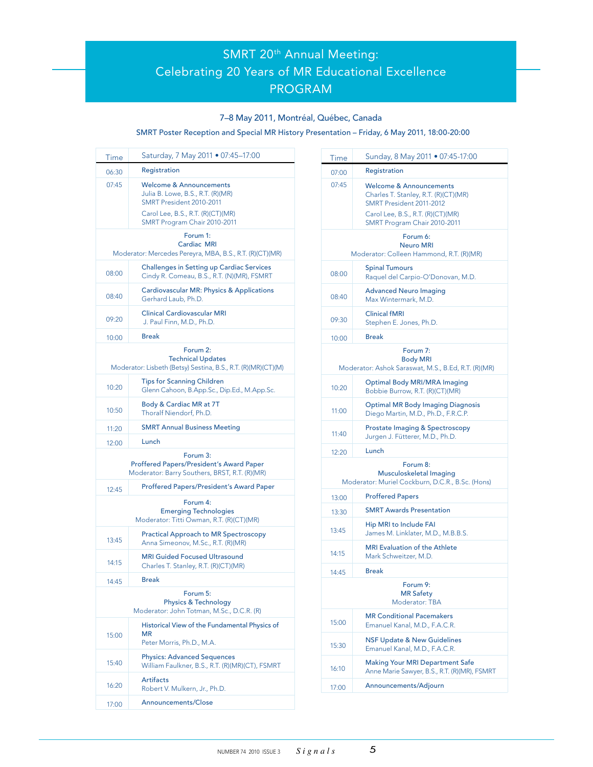# SMRT 20th Annual Meeting: Celebrating 20 Years of MR Educational Excellence PROGRAM

### 7–8 May 2011, Montréal, Québec, Canada

SMRT Poster Reception and Special MR History Presentation – Friday, 6 May 2011, 18:00-20:00

| Time                                                                                      | Saturday, 7 May 2011 . 07:45-17:00                                                                           |  |  |  |
|-------------------------------------------------------------------------------------------|--------------------------------------------------------------------------------------------------------------|--|--|--|
| 06:30                                                                                     | Registration                                                                                                 |  |  |  |
| 07:45                                                                                     | <b>Welcome &amp; Announcements</b><br>Julia B. Lowe, B.S., R.T. (R)(MR)<br>SMRT President 2010-2011          |  |  |  |
|                                                                                           | Carol Lee, B.S., R.T. (R)(CT)(MR)<br>SMRT Program Chair 2010-2011                                            |  |  |  |
| Forum 1:<br><b>Cardiac MRI</b>                                                            |                                                                                                              |  |  |  |
|                                                                                           | Moderator: Mercedes Pereyra, MBA, B.S., R.T. (R)(CT)(MR)                                                     |  |  |  |
| 08:00                                                                                     | <b>Challenges in Setting up Cardiac Services</b><br>Cindy R. Comeau, B.S., R.T. (N)(MR), FSMRT               |  |  |  |
| 08:40                                                                                     | Cardiovascular MR: Physics & Applications<br>Gerhard Laub, Ph.D.                                             |  |  |  |
| 09:20                                                                                     | <b>Clinical Cardiovascular MRI</b><br>J. Paul Finn, M.D., Ph.D.                                              |  |  |  |
| 10:00                                                                                     | <b>Break</b>                                                                                                 |  |  |  |
|                                                                                           | Forum 2:                                                                                                     |  |  |  |
| <b>Technical Updates</b><br>Moderator: Lisbeth (Betsy) Sestina, B.S., R.T. (R)(MR)(CT)(M) |                                                                                                              |  |  |  |
| 10:20                                                                                     | <b>Tips for Scanning Children</b><br>Glenn Cahoon, B.App.Sc., Dip.Ed., M.App.Sc.                             |  |  |  |
| 10:50                                                                                     | Body & Cardiac MR at 7T<br>Thoralf Niendorf, Ph.D.                                                           |  |  |  |
| 11:20                                                                                     | <b>SMRT Annual Business Meeting</b>                                                                          |  |  |  |
| 12:00                                                                                     | Lunch                                                                                                        |  |  |  |
|                                                                                           | Forum 3:<br><b>Proffered Papers/President's Award Paper</b><br>Moderator: Barry Southers, BRST, R.T. (R)(MR) |  |  |  |
| 12:45                                                                                     | <b>Proffered Papers/President's Award Paper</b>                                                              |  |  |  |
|                                                                                           | Forum 4:<br><b>Emerging Technologies</b><br>Moderator: Titti Owman, R.T. (R)(CT)(MR)                         |  |  |  |
| 13:45                                                                                     | <b>Practical Approach to MR Spectroscopy</b><br>Anna Simeonov, M.Sc., R.T. (R)(MR)                           |  |  |  |
| 14:15                                                                                     | <b>MRI Guided Focused Ultrasound</b><br>Charles T. Stanley, R.T. (R)(CT)(MR)                                 |  |  |  |
| 14:45                                                                                     | <b>Break</b>                                                                                                 |  |  |  |
| Forum 5:<br><b>Physics &amp; Technology</b><br>Moderator: John Totman, M.Sc., D.C.R. (R)  |                                                                                                              |  |  |  |
| 15:00                                                                                     | Historical View of the Fundamental Physics of<br><b>MR</b><br>Peter Morris, Ph.D., M.A.                      |  |  |  |
| 15:40                                                                                     | <b>Physics: Advanced Sequences</b><br>William Faulkner, B.S., R.T. (R)(MR)(CT), FSMRT                        |  |  |  |
| 16:20                                                                                     | <b>Artifacts</b><br>Robert V. Mulkern, Jr., Ph.D.                                                            |  |  |  |
| 17:00                                                                                     | <b>Announcements/Close</b>                                                                                   |  |  |  |

| Time                                                                                    | Sunday, 8 May 2011 . 07:45-17:00                                                                       |  |  |  |
|-----------------------------------------------------------------------------------------|--------------------------------------------------------------------------------------------------------|--|--|--|
| 07:00                                                                                   | Registration                                                                                           |  |  |  |
| 07:45                                                                                   | <b>Welcome &amp; Announcements</b><br>Charles T. Stanley, R.T. (R)(CT)(MR)<br>SMRT President 2011-2012 |  |  |  |
|                                                                                         | Carol Lee, B.S., R.T. (R)(CT)(MR)<br>SMRT Program Chair 2010-2011                                      |  |  |  |
| Forum 6:<br><b>Neuro MRI</b><br>Moderator: Colleen Hammond, R.T. (R)(MR)                |                                                                                                        |  |  |  |
| 08:00                                                                                   | Spinal Tumours<br>Raquel del Carpio-O'Donovan, M.D.                                                    |  |  |  |
| 08:40                                                                                   | <b>Advanced Neuro Imaging</b><br>Max Wintermark, M.D.                                                  |  |  |  |
| 09:30                                                                                   | <b>Clinical fMRI</b><br>Stephen E. Jones, Ph.D.                                                        |  |  |  |
| 10:00                                                                                   | <b>Break</b>                                                                                           |  |  |  |
| Forum 7:<br><b>Body MRI</b><br>Moderator: Ashok Saraswat, M.S., B.Ed, R.T. (R)(MR)      |                                                                                                        |  |  |  |
| 10:20                                                                                   | Optimal Body MRI/MRA Imaging<br>Bobbie Burrow, R.T. (R)(CT)(MR)                                        |  |  |  |
| 11:00                                                                                   | <b>Optimal MR Body Imaging Diagnosis</b><br>Diego Martin, M.D., Ph.D., F.R.C.P.                        |  |  |  |
| 11:40                                                                                   | <b>Prostate Imaging &amp; Spectroscopy</b><br>Jurgen J. Fütterer, M.D., Ph.D.                          |  |  |  |
| 12:20                                                                                   | Lunch                                                                                                  |  |  |  |
| Forum 8:<br>Musculoskeletal Imaging<br>Moderator: Muriel Cockburn, D.C.R., B.Sc. (Hons) |                                                                                                        |  |  |  |
| 13:00                                                                                   | <b>Proffered Papers</b>                                                                                |  |  |  |
| 13:30                                                                                   | <b>SMRT Awards Presentation</b>                                                                        |  |  |  |
| 13:45                                                                                   | Hip MRI to Include FAI<br>James M. Linklater, M.D., M.B.B.S.                                           |  |  |  |
| 14:15                                                                                   | <b>MRI Evaluation of the Athlete</b><br>Mark Schweitzer, M.D.                                          |  |  |  |
| 14:45                                                                                   | <b>Break</b>                                                                                           |  |  |  |
| Forum 9:<br><b>MR Safety</b><br>Moderator: TBA                                          |                                                                                                        |  |  |  |
| 15:00                                                                                   | <b>MR Conditional Pacemakers</b><br>Emanuel Kanal, M.D., F.A.C.R.                                      |  |  |  |
| 15:30                                                                                   | NSF Update & New Guidelines<br>Emanuel Kanal, M.D., F.A.C.R.                                           |  |  |  |
| 16:10                                                                                   | <b>Making Your MRI Department Safe</b><br>Anne Marie Sawyer, B.S., R.T. (R)(MR), FSMRT                 |  |  |  |
| 17:00                                                                                   | Announcements/Adjourn                                                                                  |  |  |  |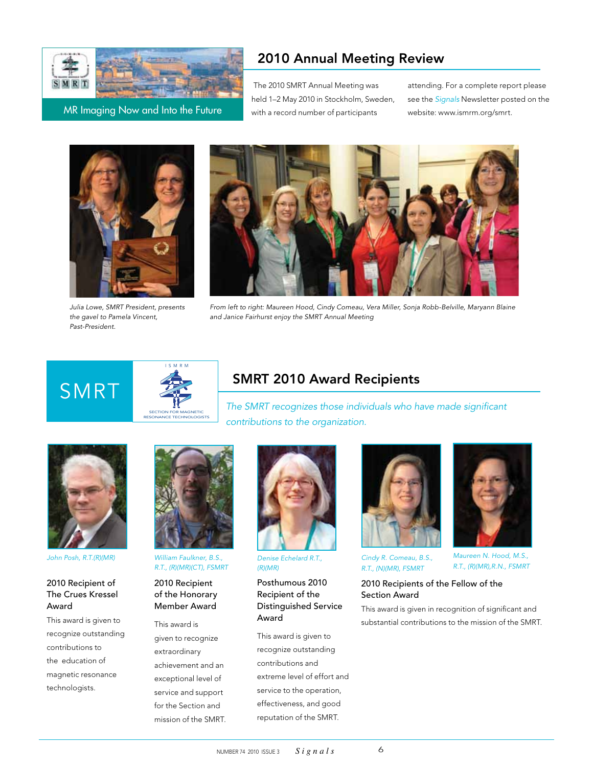

MR Imaging Now and Into the Future

# 2010 Annual Meeting Review

 The 2010 SMRT Annual Meeting was held 1–2 May 2010 in Stockholm, Sweden, with a record number of participants

attending. For a complete report please see the *Signals* Newsletter posted on the website: www.ismrm.org/smrt.



*Julia Lowe, SMRT President, presents the gavel to Pamela Vincent, Past-President.*



*From left to right: Maureen Hood, Cindy Comeau, Vera Miller, Sonja Robb-Belville, Maryann Blaine and Janice Fairhurst enjoy the SMRT Annual Meeting* 



# SMRT 2010 Award Recipients

*The SMRT recognizes those individuals who have made significant contributions to the organization.*



*John Posh, R.T.(R)(MR)*

### 2010 Recipient of The Crues Kressel Award

This award is given to recognize outstanding contributions to the education of magnetic resonance technologists.



*William Faulkner, B.S., R.T., (R)(MR)(CT), FSMRT*

#### 2010 Recipient of the Honorary Member Award

This award is

given to recognize extraordinary achievement and an exceptional level of service and support for the Section and mission of the SMRT.



*Denise Echelard R.T., (R)(MR)*

### Posthumous 2010 Recipient of the Distinguished Service Award

This award is given to recognize outstanding contributions and extreme level of effort and service to the operation, effectiveness, and good reputation of the SMRT.



*Cindy R. Comeau, B.S., R.T., (N)(MR), FSMRT*



*Maureen N. Hood, M.S., R.T., (R)(MR),R.N., FSMRT*

### 2010 Recipients of the Fellow of the Section Award

This award is given in recognition of significant and substantial contributions to the mission of the SMRT.

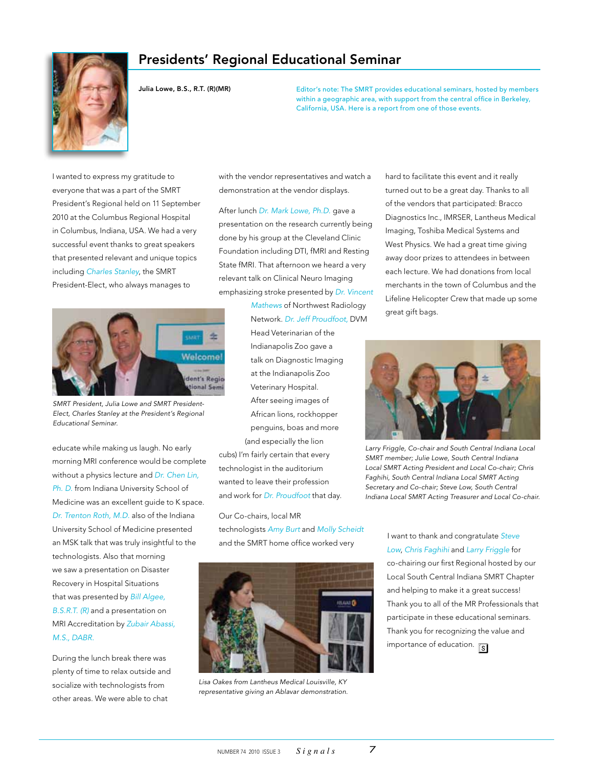



Julia Lowe, B.S., R.T. (R)(MR)

Editor's note: The SMRT provides educational seminars, hosted by members within a geographic area, with support from the central office in Berkeley, California, USA. Here is a report from one of those events.

I wanted to express my gratitude to everyone that was a part of the SMRT President's Regional held on 11 September 2010 at the Columbus Regional Hospital in Columbus, Indiana, USA. We had a very successful event thanks to great speakers that presented relevant and unique topics including *Charles Stanley*, the SMRT President-Elect, who always manages to



*SMRT President, Julia Lowe and SMRT President-Elect, Charles Stanley at the President's Regional Educational Seminar.* 

educate while making us laugh. No early morning MRI conference would be complete without a physics lecture and *Dr. Chen Lin,*  **Ph. D. from Indiana University School of** Medicine was an excellent guide to K space. *Dr. Trenton Roth, M.D.* also of the Indiana University School of Medicine presented an MSK talk that was truly insightful to the technologists. Also that morning we saw a presentation on Disaster Recovery in Hospital Situations that was presented by *Bill Algee, B.S.R.T. (R)* and a presentation on MRI Accreditation by *Zubair Abassi, M.S., DABR.* 

During the lunch break there was plenty of time to relax outside and socialize with technologists from other areas. We were able to chat

with the vendor representatives and watch a demonstration at the vendor displays.

After lunch *Dr. Mark Lowe, Ph.D.* gave a presentation on the research currently being done by his group at the Cleveland Clinic Foundation including DTI, fMRI and Resting State fMRI. That afternoon we heard a very relevant talk on Clinical Neuro Imaging emphasizing stroke presented by *Dr. Vincent* 

> *Mathews* of Northwest Radiology Network. *Dr. Jeff Proudfoot,* DVM Head Veterinarian of the

Indianapolis Zoo gave a talk on Diagnostic Imaging at the Indianapolis Zoo Veterinary Hospital. After seeing images of African lions, rockhopper penguins, boas and more (and especially the lion cubs) I'm fairly certain that every

technologist in the auditorium wanted to leave their profession and work for *Dr. Proudfoot* that day.

Our Co-chairs, local MR technologists *Amy Burt* and *Molly Scheidt* and the SMRT home office worked very



*Lisa Oakes from Lantheus Medical Louisville, KY representative giving an Ablavar demonstration.* 

hard to facilitate this event and it really turned out to be a great day. Thanks to all of the vendors that participated: Bracco Diagnostics Inc., IMRSER, Lantheus Medical Imaging, Toshiba Medical Systems and West Physics. We had a great time giving away door prizes to attendees in between each lecture. We had donations from local merchants in the town of Columbus and the Lifeline Helicopter Crew that made up some great gift bags.



*Larry Friggle, Co-chair and South Central Indiana Local SMRT member; Julie Lowe, South Central Indiana Local SMRT Acting President and Local Co-chair; Chris Faghihi, South Central Indiana Local SMRT Acting Secretary and Co-chair; Steve Low, South Central Indiana Local SMRT Acting Treasurer and Local Co-chair.*

 I want to thank and congratulate *Steve Low*, *Chris Faghihi* and *Larry Friggle* for co-chairing our first Regional hosted by our Local South Central Indiana SMRT Chapter and helping to make it a great success! Thank you to all of the MR Professionals that participate in these educational seminars. Thank you for recognizing the value and importance of education. <sub>5</sub>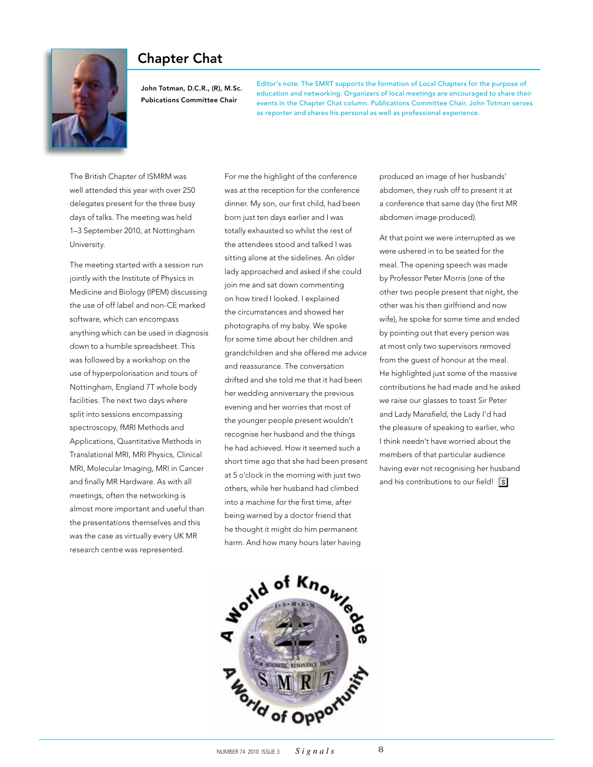

# Chapter Chat

John Totman, D.C.R., (R), M.Sc. Pubications Committee Chair

Editor's note: The SMRT supports the formation of Local Chapters for the purpose of education and networking. Organizers of local meetings are encouraged to share their events in the Chapter Chat column. Publications Committee Chair, John Totman serves as reporter and shares his personal as well as professional experience.

The British Chapter of ISMRM was well attended this year with over 250 delegates present for the three busy days of talks. The meeting was held 1–3 September 2010, at Nottingham University.

The meeting started with a session run jointly with the Institute of Physics in Medicine and Biology (IPEM) discussing the use of off label and non-CE marked software, which can encompass anything which can be used in diagnosis down to a humble spreadsheet. This was followed by a workshop on the use of hyperpolorisation and tours of Nottingham, England 7T whole body facilities. The next two days where split into sessions encompassing spectroscopy, fMRI Methods and Applications, Quantitative Methods in Translational MRI, MRI Physics, Clinical MRI, Molecular Imaging, MRI in Cancer and finally MR Hardware. As with all meetings, often the networking is almost more important and useful than the presentations themselves and this was the case as virtually every UK MR research centre was represented.

For me the highlight of the conference was at the reception for the conference dinner. My son, our first child, had been born just ten days earlier and I was totally exhausted so whilst the rest of the attendees stood and talked I was sitting alone at the sidelines. An older lady approached and asked if she could join me and sat down commenting on how tired I looked. I explained the circumstances and showed her photographs of my baby. We spoke for some time about her children and grandchildren and she offered me advice and reassurance. The conversation drifted and she told me that it had been her wedding anniversary the previous evening and her worries that most of the younger people present wouldn't recognise her husband and the things he had achieved. How it seemed such a short time ago that she had been present at 5 o'clock in the morning with just two others, while her husband had climbed into a machine for the first time, after being warned by a doctor friend that he thought it might do him permanent harm. And how many hours later having

produced an image of her husbands' abdomen, they rush off to present it at a conference that same day (the first MR abdomen image produced).

At that point we were interrupted as we were ushered in to be seated for the meal. The opening speech was made by Professor Peter Morris (one of the other two people present that night, the other was his then girlfriend and now wife), he spoke for some time and ended by pointing out that every person was at most only two supervisors removed from the guest of honour at the meal. He highlighted just some of the massive contributions he had made and he asked we raise our glasses to toast Sir Peter and Lady Mansfield, the Lady I'd had the pleasure of speaking to earlier, who I think needn't have worried about the members of that particular audience having ever not recognising her husband and his contributions to our field! S

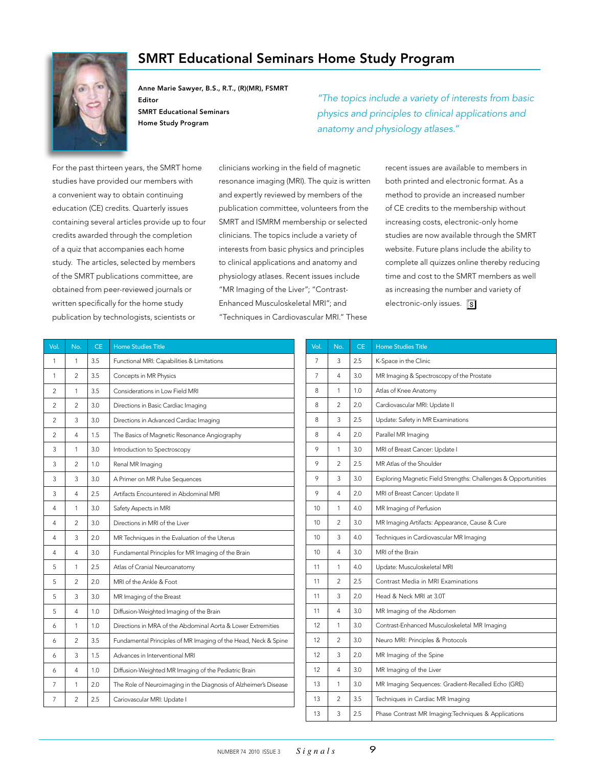

# SMRT Educational Seminars Home Study Program

Anne Marie Sawyer, B.S., R.T., (R)(MR), FSMRT Editor SMRT Educational Seminars Home Study Program

*"The topics include a variety of interests from basic physics and principles to clinical applications and anatomy and physiology atlases."*

For the past thirteen years, the SMRT home studies have provided our members with a convenient way to obtain continuing education (CE) credits. Quarterly issues containing several articles provide up to four credits awarded through the completion of a quiz that accompanies each home study. The articles, selected by members of the SMRT publications committee, are obtained from peer-reviewed journals or written specifically for the home study publication by technologists, scientists or

clinicians working in the field of magnetic resonance imaging (MRI). The quiz is written and expertly reviewed by members of the publication committee, volunteers from the SMRT and ISMRM membership or selected clinicians. The topics include a variety of interests from basic physics and principles to clinical applications and anatomy and physiology atlases. Recent issues include "MR Imaging of the Liver"; "Contrast-Enhanced Musculoskeletal MRI"; and "Techniques in Cardiovascular MRI." These

recent issues are available to members in both printed and electronic format. As a method to provide an increased number of CE credits to the membership without increasing costs, electronic-only home studies are now available through the SMRT website. Future plans include the ability to complete all quizzes online thereby reducing time and cost to the SMRT members as well as increasing the number and variety of electronic-only issues. **S** 

| Vol.           | No. | <b>CE</b> | <b>Home Studies Title</b>                                        |
|----------------|-----|-----------|------------------------------------------------------------------|
| 1              | 1   | 3.5       | Functional MRI: Capabilities & Limitations                       |
| 1              | 2   | 3.5       | Concepts in MR Physics                                           |
| $\overline{2}$ | 1   | 3.5       | Considerations in Low Field MRI                                  |
| $\overline{2}$ | 2   | 3.0       | Directions in Basic Cardiac Imaging                              |
| $\overline{2}$ | 3   | 3.0       | Directions in Advanced Cardiac Imaging                           |
| $\overline{2}$ | 4   | 1.5       | The Basics of Magnetic Resonance Angiography                     |
| 3              | 1   | 3.0       | Introduction to Spectroscopy                                     |
| 3              | 2   | 1.0       | Renal MR Imaging                                                 |
| 3              | 3   | 3.0       | A Primer on MR Pulse Sequences                                   |
| 3              | 4   | 2.5       | Artifacts Encountered in Abdominal MRI                           |
| 4              | 1   | 3.0       | Safety Aspects in MRI                                            |
| 4              | 2   | 3.0       | Directions in MRI of the Liver                                   |
| 4              | 3   | 2.0       | MR Techniques in the Evaluation of the Uterus                    |
| 4              | 4   | 3.0       | Fundamental Principles for MR Imaging of the Brain               |
| 5              | 1   | 2.5       | Atlas of Cranial Neuroanatomy                                    |
| 5              | 2   | 2.0       | MRI of the Ankle & Foot                                          |
| 5              | 3   | 3.0       | MR Imaging of the Breast                                         |
| 5              | 4   | 1.0       | Diffusion-Weighted Imaging of the Brain                          |
| 6              | 1   | 1.0       | Directions in MRA of the Abdominal Aorta & Lower Extremities     |
| 6              | 2   | 3.5       | Fundamental Principles of MR Imaging of the Head, Neck & Spine   |
| 6              | 3   | 1.5       | Advances in Interventional MRI                                   |
| 6              | 4   | 1.0       | Diffusion-Weighted MR Imaging of the Pediatric Brain             |
| 7              | 1   | 2.0       | The Role of Neuroimaging in the Diagnosis of Alzheimer's Disease |
| 7              | 2   | 2.5       | Cariovascular MRI: Update I                                      |

| Vol.            | No.            | <b>CE</b> | <b>Home Studies Title</b>                                      |
|-----------------|----------------|-----------|----------------------------------------------------------------|
| 7               | 3              | 2.5       | K-Space in the Clinic                                          |
| 7               | 4              | 3.0       | MR Imaging & Spectroscopy of the Prostate                      |
| 8               | 1              | 1.0       | Atlas of Knee Anatomy                                          |
| 8               | $\overline{2}$ | 2.0       | Cardiovascular MRI: Update II                                  |
| 8               | 3              | 2.5       | Update: Safety in MR Examinations                              |
| 8               | 4              | 2.0       | Parallel MR Imaging                                            |
| 9               | 1              | 3.0       | MRI of Breast Cancer: Update I                                 |
| 9               | 2              | 2.5       | MR Atlas of the Shoulder                                       |
| 9               | 3              | 3.0       | Exploring Magnetic Field Strengths: Challenges & Opportunities |
| 9               | 4              | 2.0       | MRI of Breast Cancer: Update II                                |
| 10              | 1              | 4.0       | MR Imaging of Perfusion                                        |
| 10 <sup>1</sup> | $\mathfrak{p}$ | 3.0       | MR Imaging Artifacts: Appearance, Cause & Cure                 |
| 10              | 3              | 4.0       | Techniques in Cardiovascular MR Imaging                        |
| 10              | 4              | 3.0       | MRI of the Brain                                               |
| 11              | 1              | 4.0       | Update: Musculoskeletal MRI                                    |
| 11              | $\overline{2}$ | 2.5       | Contrast Media in MRI Examinations                             |
| 11              | 3              | 2.0       | Head & Neck MRI at 3.0T                                        |
| 11              | 4              | 3.0       | MR Imaging of the Abdomen                                      |
| 12              | 1              | 3.0       | Contrast-Enhanced Musculoskeletal MR Imaging                   |
| 12              | $\overline{2}$ | 3.0       | Neuro MRI: Principles & Protocols                              |
| 12              | 3              | 2.0       | MR Imaging of the Spine                                        |
| 12              | $\overline{4}$ | 3.0       | MR Imaging of the Liver                                        |
| 13              | 1              | 3.0       | MR Imaging Sequences: Gradient-Recalled Echo (GRE)             |
| 13              | $\mathfrak{p}$ | 3.5       | Techniques in Cardiac MR Imaging                               |
| 13              | 3              | 2.5       | Phase Contrast MR Imaging: Techniques & Applications           |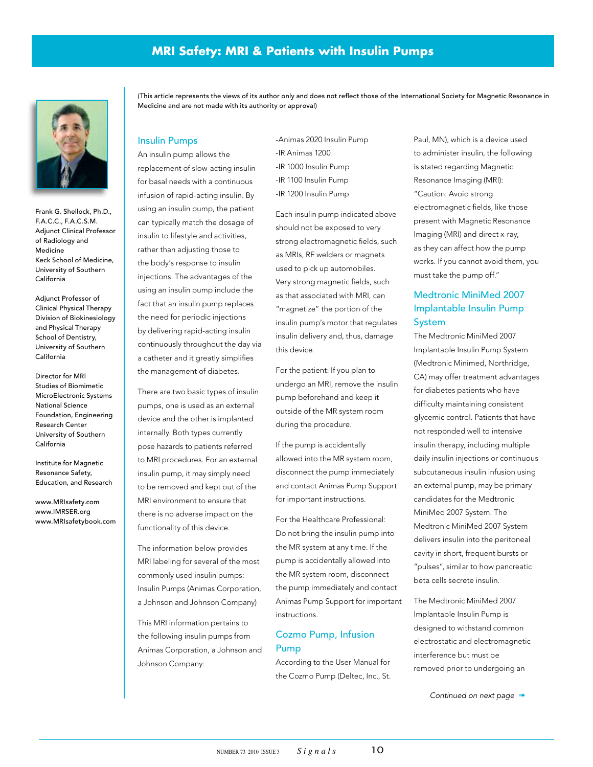## **MRI Safety: MRI & Patients with Insulin Pumps**



Frank G. Shellock, Ph.D., F.A.C.C., F.A.C.S.M. Adjunct Clinical Professor of Radiology and Medicine Keck School of Medicine, University of Southern California

Adjunct Professor of Clinical Physical Therapy Division of Biokinesiology and Physical Therapy School of Dentistry, University of Southern California

Director for MRI Studies of Biomimetic MicroElectronic Systems National Science Foundation, Engineering Research Center University of Southern California

Institute for Magnetic Resonance Safety, Education, and Research

www.MRIsafety.com www.IMRSER.org www.MRIsafetybook.com (This article represents the views of its author only and does not reflect those of the International Society for Magnetic Resonance in Medicine and are not made with its authority or approval)

### Insulin Pumps

An insulin pump allows the replacement of slow-acting insulin for basal needs with a continuous infusion of rapid-acting insulin. By using an insulin pump, the patient can typically match the dosage of insulin to lifestyle and activities, rather than adjusting those to the body's response to insulin injections. The advantages of the using an insulin pump include the fact that an insulin pump replaces the need for periodic injections by delivering rapid-acting insulin continuously throughout the day via a catheter and it greatly simplifies the management of diabetes.

There are two basic types of insulin pumps, one is used as an external device and the other is implanted internally. Both types currently pose hazards to patients referred to MRI procedures. For an external insulin pump, it may simply need to be removed and kept out of the MRI environment to ensure that there is no adverse impact on the functionality of this device.

The information below provides MRI labeling for several of the most commonly used insulin pumps: Insulin Pumps (Animas Corporation, a Johnson and Johnson Company)

This MRI information pertains to the following insulin pumps from Animas Corporation, a Johnson and Johnson Company:

-Animas 2020 Insulin Pump

- -IR Animas 1200 -IR 1000 Insulin Pump
- -IR 1100 Insulin Pump
- -IR 1200 Insulin Pump

Each insulin pump indicated above should not be exposed to very strong electromagnetic fields, such as MRIs, RF welders or magnets used to pick up automobiles. Very strong magnetic fields, such as that associated with MRI, can "magnetize" the portion of the insulin pump's motor that regulates insulin delivery and, thus, damage this device.

For the patient: If you plan to undergo an MRI, remove the insulin pump beforehand and keep it outside of the MR system room during the procedure.

If the pump is accidentally allowed into the MR system room, disconnect the pump immediately and contact Animas Pump Support for important instructions.

For the Healthcare Professional: Do not bring the insulin pump into the MR system at any time. If the pump is accidentally allowed into the MR system room, disconnect the pump immediately and contact Animas Pump Support for important **instructions** 

### Cozmo Pump, Infusion Pump

According to the User Manual for the Cozmo Pump (Deltec, Inc., St. Paul, MN), which is a device used to administer insulin, the following is stated regarding Magnetic Resonance Imaging (MRI): "Caution: Avoid strong electromagnetic fields, like those present with Magnetic Resonance Imaging (MRI) and direct x-ray, as they can affect how the pump works. If you cannot avoid them, you must take the pump off."

### Medtronic MiniMed 2007 Implantable Insulin Pump System

The Medtronic MiniMed 2007 Implantable Insulin Pump System (Medtronic Minimed, Northridge, CA) may offer treatment advantages for diabetes patients who have difficulty maintaining consistent glycemic control. Patients that have not responded well to intensive insulin therapy, including multiple daily insulin injections or continuous subcutaneous insulin infusion using an external pump, may be primary candidates for the Medtronic MiniMed 2007 System. The Medtronic MiniMed 2007 System delivers insulin into the peritoneal cavity in short, frequent bursts or "pulses", similar to how pancreatic beta cells secrete insulin.

The Medtronic MiniMed 2007 Implantable Insulin Pump is designed to withstand common electrostatic and electromagnetic interference but must be removed prior to undergoing an

*Continued on next page* ➠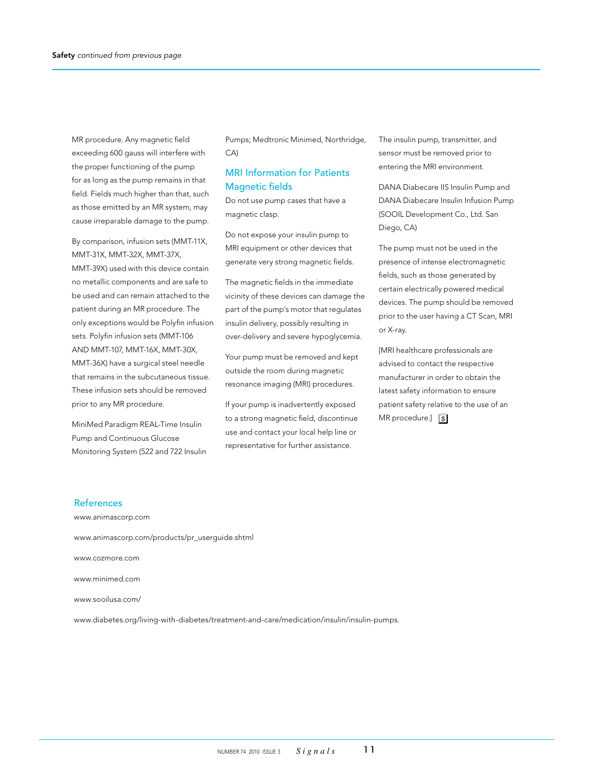MR procedure. Any magnetic field exceeding 600 gauss will interfere with the proper functioning of the pump for as long as the pump remains in that field. Fields much higher than that, such as those emitted by an MR system, may cause irreparable damage to the pump.

By comparison, infusion sets (MMT-11X, MMT-31X, MMT-32X, MMT-37X, MMT-39X) used with this device contain no metallic components and are safe to be used and can remain attached to the patient during an MR procedure. The only exceptions would be Polyfin infusion sets. Polyfin infusion sets (MMT-106 AND MMT-107, MMT-16X, MMT-30X, MMT-36X) have a surgical steel needle that remains in the subcutaneous tissue. These infusion sets should be removed prior to any MR procedure.

MiniMed Paradigm REAL-Time Insulin Pump and Continuous Glucose Monitoring System (522 and 722 Insulin

Pumps; Medtronic Minimed, Northridge, CA)

### MRI Information for Patients Magnetic fields

Do not use pump cases that have a magnetic clasp.

Do not expose your insulin pump to MRI equipment or other devices that generate very strong magnetic fields.

The magnetic fields in the immediate vicinity of these devices can damage the part of the pump's motor that regulates insulin delivery, possibly resulting in over-delivery and severe hypoglycemia.

Your pump must be removed and kept outside the room during magnetic resonance imaging (MRI) procedures.

If your pump is inadvertently exposed to a strong magnetic field, discontinue use and contact your local help line or representative for further assistance.

The insulin pump, transmitter, and sensor must be removed prior to entering the MRI environment.

DANA Diabecare IIS Insulin Pump and DANA Diabecare Insulin Infusion Pump (SOOIL Development Co., Ltd. San Diego, CA)

The pump must not be used in the presence of intense electromagnetic fields, such as those generated by certain electrically powered medical devices. The pump should be removed prior to the user having a CT Scan, MRI or X-ray.

[MRI healthcare professionals are advised to contact the respective manufacturer in order to obtain the latest safety information to ensure patient safety relative to the use of an MR procedure.] **S** 

#### References

www.animascorp.com www.animascorp.com/products/pr\_userguide.shtml www.cozmore.com www.minimed.com www.sooilusa.com/ www.diabetes.org/living-with-diabetes/treatment-and-care/medication/insulin/insulin-pumps.